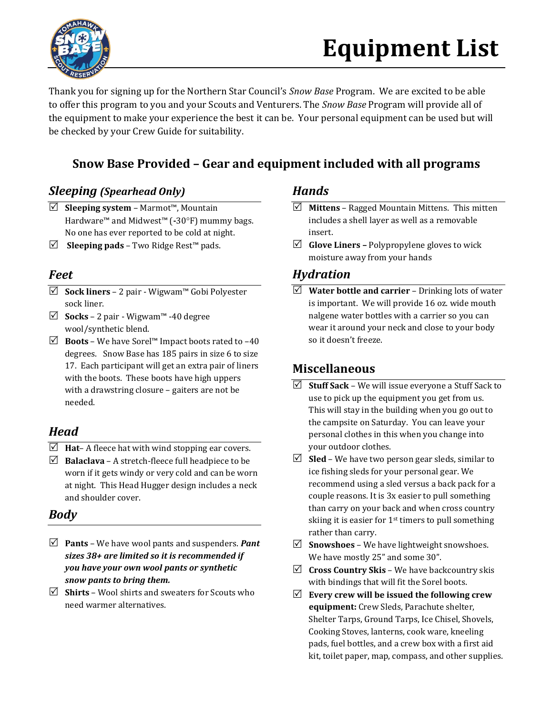

# **Equipment List**

Thank you for signing up for the Northern Star Council's *Snow Base* Program. We are excited to be able to offer this program to you and your Scouts and Venturers. The *Snow Base* Program will provide all of the equipment to make your experience the best it can be. Your personal equipment can be used but will be checked by your Crew Guide for suitability.

### **Snow Base Provided – Gear and equipment included with all programs**

#### *Sleeping (Spearhead Only) Hands*

- **Sleeping system** Marmot™, Mountain Hardware™ and Midwest<sup>™</sup> (-30°F) mummy bags. No one has ever reported to be cold at night.
- **Sleeping pads** Two Ridge Rest™ pads.

#### *Feet*

- **Sock liners** 2 pair Wigwam™ Gobi Polyester sock liner.
- **Socks** 2 pair Wigwam™ -40 degree wool/synthetic blend.
- **Boots**  We have Sorel™ Impact boots rated to –40 degrees. Snow Base has 185 pairs in size 6 to size 17. Each participant will get an extra pair of liners with the boots. These boots have high uppers with a drawstring closure – gaiters are not be needed.

#### *Head*

- $\triangledown$  **Hat** A fleece hat with wind stopping ear covers.
- $\triangledown$  **Balaclava** A stretch-fleece full headpiece to be worn if it gets windy or very cold and can be worn at night. This Head Hugger design includes a neck and shoulder cover.

#### *Body*

- **Pants** We have wool pants and suspenders. *Pant sizes 38+ are limited so it is recommended if you have your own wool pants or synthetic snow pants to bring them.*
- **Shirts**  Wool shirts and sweaters for Scouts who need warmer alternatives.

- **Mittens** Ragged Mountain Mittens. This mitten includes a shell layer as well as a removable insert.
- **Glove Liners –** Polypropylene gloves to wick moisture away from your hands

#### *Hydration*

 **Water bottle and carrier** – Drinking lots of water is important. We will provide 16 oz. wide mouth nalgene water bottles with a carrier so you can wear it around your neck and close to your body so it doesn't freeze.

#### **Miscellaneous**

- $\triangledown$  **Stuff Sack** We will issue everyone a Stuff Sack to use to pick up the equipment you get from us. This will stay in the building when you go out to the campsite on Saturday. You can leave your personal clothes in this when you change into your outdoor clothes.
- $\boxtimes$  **Sled** We have two person gear sleds, similar to ice fishing sleds for your personal gear. We recommend using a sled versus a back pack for a couple reasons. It is 3x easier to pull something than carry on your back and when cross country skiing it is easier for 1<sup>st</sup> timers to pull something rather than carry.
- $\triangledown$  **Snowshoes** We have lightweight snowshoes. We have mostly 25" and some 30".
- **Cross Country Skis** We have backcountry skis with bindings that will fit the Sorel boots.
- **Every crew will be issued the following crew equipment:** Crew Sleds, Parachute shelter, Shelter Tarps, Ground Tarps, Ice Chisel, Shovels, Cooking Stoves, lanterns, cook ware, kneeling pads, fuel bottles, and a crew box with a first aid kit, toilet paper, map, compass, and other supplies.